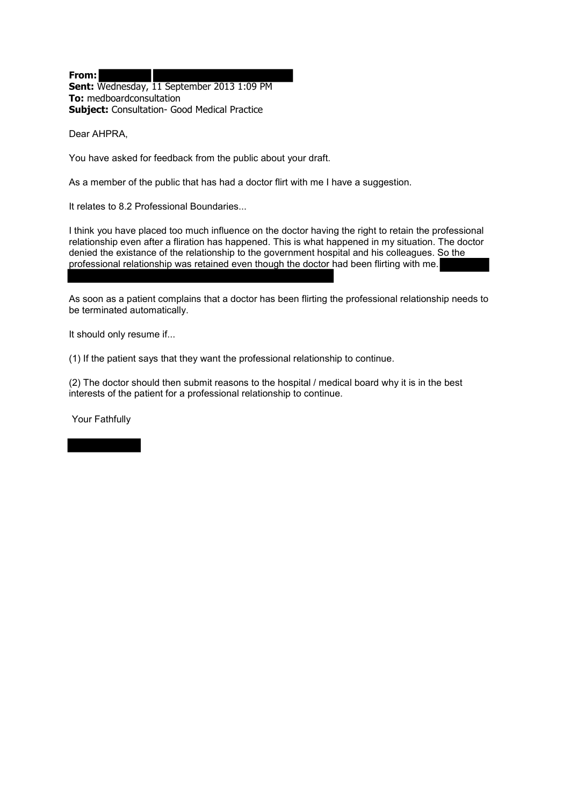**From: Sent:** Wednesday, 11 September 2013 1:09 PM **To:** medboardconsultation **Subject:** Consultation- Good Medical Practice

Dear AHPRA,

You have asked for feedback from the public about your draft.

As a member of the public that has had a doctor flirt with me I have a suggestion.

It relates to 8.2 Professional Boundaries...

I think you have placed too much influence on the doctor having the right to retain the professional relationship even after a fliration has happened. This is what happened in my situation. The doctor denied the existance of the relationship to the government hospital and his colleagues. So the professional relationship was retained even though the doctor had been flirting with me.

٦ As soon as a patient complains that a doctor has been flirting the professional relationship needs to be terminated automatically.

It should only resume if...

(1) If the patient says that they want the professional relationship to continue.

(2) The doctor should then submit reasons to the hospital / medical board why it is in the best interests of the patient for a professional relationship to continue.

Your Fathfully